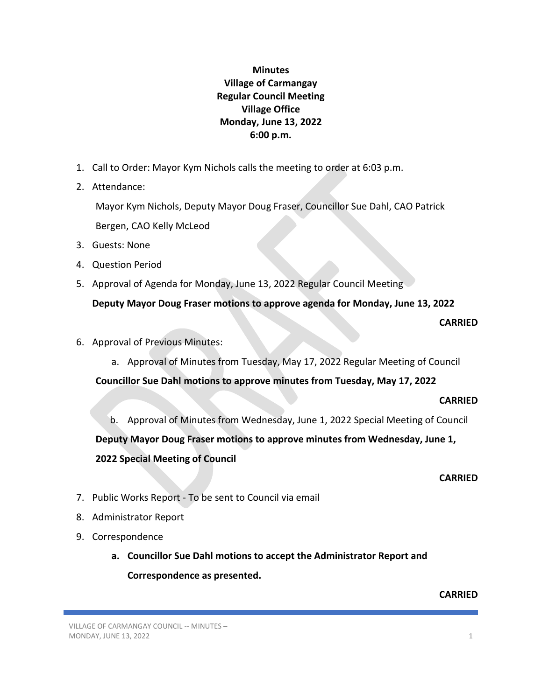# **Minutes Village of Carmangay Regular Council Meeting Village Office Monday, June 13, 2022 6:00 p.m.**

- 1. Call to Order: Mayor Kym Nichols calls the meeting to order at 6:03 p.m.
- 2. Attendance:

Mayor Kym Nichols, Deputy Mayor Doug Fraser, Councillor Sue Dahl, CAO Patrick Bergen, CAO Kelly McLeod

- 3. Guests: None
- 4. Question Period
- 5. Approval of Agenda for Monday, June 13, 2022 Regular Council Meeting **Deputy Mayor Doug Fraser motions to approve agenda for Monday, June 13, 2022**
	- **CARRIED**

- 6. Approval of Previous Minutes:
	- a. Approval of Minutes from Tuesday, May 17, 2022 Regular Meeting of Council

**Councillor Sue Dahl motions to approve minutes from Tuesday, May 17, 2022**

# **CARRIED**

b. Approval of Minutes from Wednesday, June 1, 2022 Special Meeting of Council **Deputy Mayor Doug Fraser motions to approve minutes from Wednesday, June 1, 2022 Special Meeting of Council** 

# **CARRIED**

- 7. Public Works Report To be sent to Council via email
- 8. Administrator Report
- 9. Correspondence
	- **a. Councillor Sue Dahl motions to accept the Administrator Report and Correspondence as presented.**

# **CARRIED**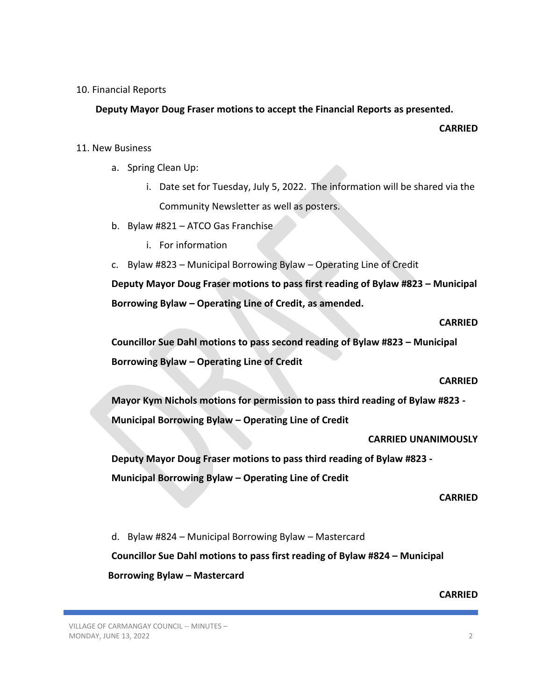#### 10. Financial Reports

# **Deputy Mayor Doug Fraser motions to accept the Financial Reports as presented.**

**CARRIED**

# 11. New Business

- a. Spring Clean Up:
	- i. Date set for Tuesday, July 5, 2022. The information will be shared via the Community Newsletter as well as posters.
- b. Bylaw #821 ATCO Gas Franchise
	- i. For information
- c. Bylaw #823 Municipal Borrowing Bylaw Operating Line of Credit

**Deputy Mayor Doug Fraser motions to pass first reading of Bylaw #823 – Municipal Borrowing Bylaw – Operating Line of Credit, as amended.**

#### **CARRIED**

**Councillor Sue Dahl motions to pass second reading of Bylaw #823 – Municipal Borrowing Bylaw – Operating Line of Credit**

#### **CARRIED**

**Mayor Kym Nichols motions for permission to pass third reading of Bylaw #823 - Municipal Borrowing Bylaw – Operating Line of Credit**

**CARRIED UNANIMOUSLY**

**Deputy Mayor Doug Fraser motions to pass third reading of Bylaw #823 - Municipal Borrowing Bylaw – Operating Line of Credit**

#### **CARRIED**

d. Bylaw #824 – Municipal Borrowing Bylaw – Mastercard **Councillor Sue Dahl motions to pass first reading of Bylaw #824 – Municipal Borrowing Bylaw – Mastercard**

# **CARRIED**

VILLAGE OF CARMANGAY COUNCIL -- MINUTES – MONDAY, JUNE 13, 2022 2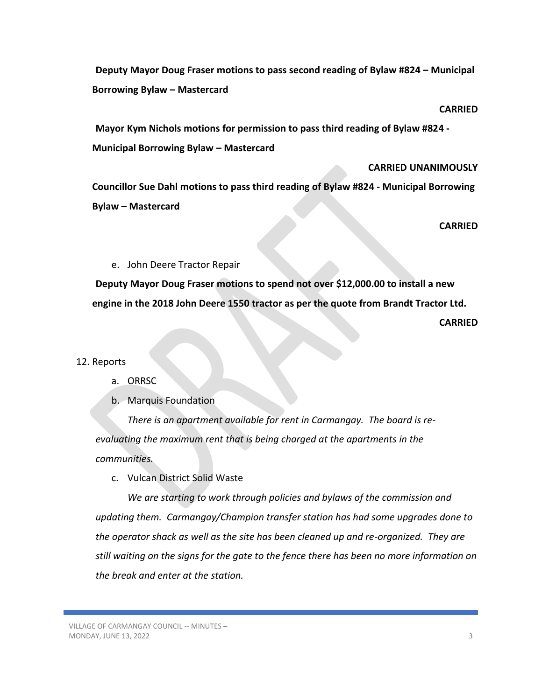**Deputy Mayor Doug Fraser motions to pass second reading of Bylaw #824 – Municipal Borrowing Bylaw – Mastercard**

**CARRIED**

**Mayor Kym Nichols motions for permission to pass third reading of Bylaw #824 - Municipal Borrowing Bylaw – Mastercard**

#### **CARRIED UNANIMOUSLY**

**Councillor Sue Dahl motions to pass third reading of Bylaw #824 - Municipal Borrowing Bylaw – Mastercard**

**CARRIED**

#### e. John Deere Tractor Repair

**Deputy Mayor Doug Fraser motions to spend not over \$12,000.00 to install a new engine in the 2018 John Deere 1550 tractor as per the quote from Brandt Tractor Ltd.**

**CARRIED**

# 12. Reports

# a. ORRSC

b. Marquis Foundation

*There is an apartment available for rent in Carmangay. The board is reevaluating the maximum rent that is being charged at the apartments in the communities.*

c. Vulcan District Solid Waste

*We are starting to work through policies and bylaws of the commission and updating them. Carmangay/Champion transfer station has had some upgrades done to the operator shack as well as the site has been cleaned up and re-organized. They are still waiting on the signs for the gate to the fence there has been no more information on the break and enter at the station.*